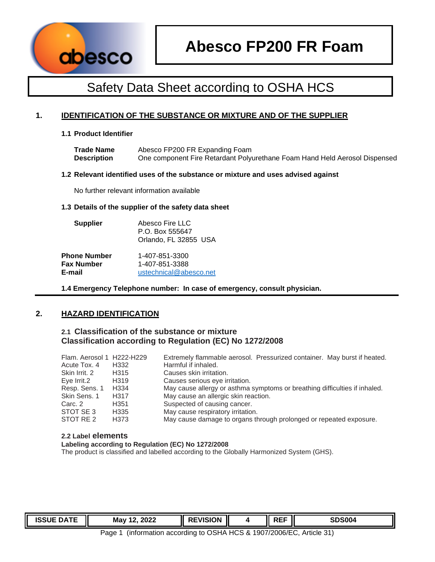

## **1. IDENTIFICATION OF THE SUBSTANCE OR MIXTURE AND OF THE SUPPLIER**

#### **1.1 Product Identifier**

| <b>Trade Name</b>  | Abesco FP200 FR Expanding Foam                                             |
|--------------------|----------------------------------------------------------------------------|
| <b>Description</b> | One component Fire Retardant Polyurethane Foam Hand Held Aerosol Dispensed |

#### **1.2 Relevant identified uses of the substance or mixture and uses advised against**

No further relevant information available

#### **1.3 Details of the supplier of the safety data sheet**

| <b>Supplier</b> | Abesco Fire LLC<br>P.O. Box 555647<br>Orlando, FL 32855 USA |  |
|-----------------|-------------------------------------------------------------|--|
|                 |                                                             |  |

| <b>Phone Number</b> | 1-407-851-3300         |
|---------------------|------------------------|
| Fax Number          | 1-407-851-3388         |
| E-mail              | ustechnical@abesco.net |

**1.4 Emergency Telephone number: In case of emergency, consult physician.** 

## **2. HAZARD IDENTIFICATION**

## **2.1 Classification of the substance or mixture Classification according to Regulation (EC) No 1272/2008**

| Flam. Aerosol 1 H222-H229 |                   | Extremely flammable aerosol. Pressurized container. May burst if heated.   |
|---------------------------|-------------------|----------------------------------------------------------------------------|
| Acute Tox, 4              | H332              | Harmful if inhaled.                                                        |
| Skin Irrit, 2             | H315              | Causes skin irritation.                                                    |
| Eve Irrit.2               | H <sub>3</sub> 19 | Causes serious eye irritation.                                             |
| Resp. Sens. 1             | H334              | May cause allergy or asthma symptoms or breathing difficulties if inhaled. |
| Skin Sens, 1              | H <sub>3</sub> 17 | May cause an allergic skin reaction.                                       |
| Carc. 2                   | H <sub>351</sub>  | Suspected of causing cancer.                                               |
| STOT SE 3                 | H <sub>335</sub>  | May cause respiratory irritation.                                          |
| STOT RE 2                 | H373              | May cause damage to organs through prolonged or repeated exposure.         |

#### **2.2 Label elements**

#### **Labeling according to Regulation (EC) No 1272/2008**

The product is classified and labelled according to the Globally Harmonized System (GHS).

| <b>ISSUE</b><br>----<br>. שנ | 2022<br>May | VISION<br>. . | DEE<br>. | SDS <sub>00</sub> |
|------------------------------|-------------|---------------|----------|-------------------|
|                              |             |               |          |                   |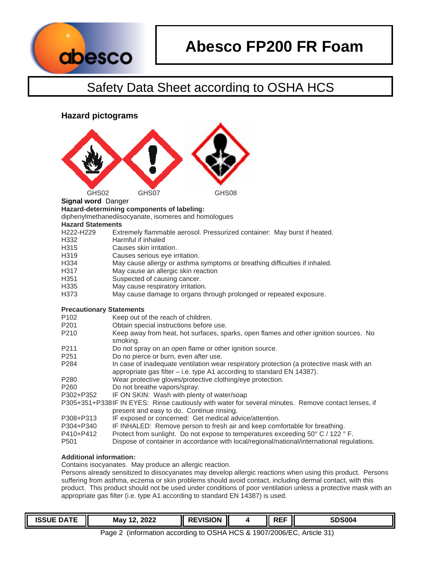

**Hazard pictograms** 



## **Signal word** Danger

**Hazard-determining components of labeling:** 

diphenylmethanediisocyanate, isomeres and homologues

#### **Hazard Statements**

| H <sub>222</sub> -H <sub>229</sub> | Extremely flammable aerosol. Pressurized container: May burst if heated. |  |
|------------------------------------|--------------------------------------------------------------------------|--|
|                                    |                                                                          |  |

- H332 Harmful if inhaled
- H315 Causes skin irritation.
- H319 Causes serious eye irritation.
- H334 May cause allergy or asthma symptoms or breathing difficulties if inhaled.
- H317 May cause an allergic skin reaction
- H351 Suspected of causing cancer.
- H335 May cause respiratory irritation.
- H373 May cause damage to organs through prolonged or repeated exposure.

## **Precautionary Statements**

- P102 Keep out of the reach of children.
- P201 Obtain special instructions before use.
- P210 Keep away from heat, hot surfaces, sparks, open flames and other ignition sources. No smoking.
- P211 Do not spray on an open flame or other ignition source.<br>P251 Do no pierce or burn, even after use.
- Do no pierce or burn, even after use.
- P284 In case of inadequate ventilation wear respiratory protection (a protective mask with an appropriate gas filter – i.e. type A1 according to standard EN 14387).
- P280 Wear protective gloves/protective clothing/eye protection.
- P260 Do not breathe vapors/spray.
- P302+P352 IF ON SKIN: Wash with plenty of water/soap
- P305+351+P338 IF IN EYES: Rinse cautiously with water for several minutes. Remove contact lenses, if present and easy to do. Continue rinsing.
- P308+P313 IF exposed or concerned: Get medical advice/attention.
- P304+P340 IF INHALED: Remove person to fresh air and keep comfortable for breathing.
- P410+P412 Protect from sunlight. Do not expose to temperatures exceeding 50° C / 122 ° F.
- P501 Dispose of container in accordance with local/regional/national/international regulations.

## **Additional information:**

Contains isocyanates. May produce an allergic reaction.

Persons already sensitized to diisocyanates may develop allergic reactions when using this product. Persons suffering from asthma, eczema or skin problems should avoid contact, including dermal contact, with this product. This product should not be used under conditions of poor ventilation unless a protective mask with an appropriate gas filter (i.e. type A1 according to standard EN 14387) is used.

| 100<br>--<br>ישכפ, | 2022<br>May<br>n | וארואווא<br>- -<br>ЭN<br>51 | ---<br>--- | <b>SDS004</b> |
|--------------------|------------------|-----------------------------|------------|---------------|
|                    |                  |                             |            |               |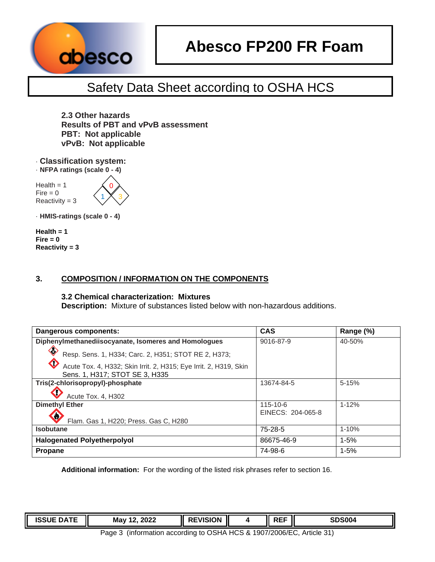

# **Abesco FP200 FR Foam**

## Safety Data Sheet according to OSHA HCS

**2.3 Other hazards Results of PBT and vPvB assessment PBT: Not applicable vPvB: Not applicable** 

· **Classification system:**  · **NFPA ratings (scale 0 - 4)** 

 $Health = 1$  $Fire = 0$  $Reactivity = 3$ 



· **HMIS-ratings (scale 0 - 4)**

**Health = 1**   $Fire = 0$ **Reactivity = 3** 

## **3. COMPOSITION / INFORMATION ON THE COMPONENTS**

## **3.2 Chemical characterization: Mixtures**

**Description:** Mixture of substances listed below with non-hazardous additions.

| Dangerous components:                                                                                             | <b>CAS</b>                          | Range (%) |
|-------------------------------------------------------------------------------------------------------------------|-------------------------------------|-----------|
| Diphenylmethanediisocyanate, Isomeres and Homologues                                                              | 9016-87-9                           | 40-50%    |
| ◇<br>Resp. Sens. 1, H334; Carc. 2, H351; STOT RE 2, H373;                                                         |                                     |           |
| $\Diamond$<br>Acute Tox. 4, H332; Skin Irrit. 2, H315; Eye Irrit. 2, H319, Skin<br>Sens. 1, H317; STOT SE 3, H335 |                                     |           |
| Tris(2-chlorisopropyl)-phosphate                                                                                  | 13674-84-5                          | $5 - 15%$ |
| Acute Tox. 4, H302                                                                                                |                                     |           |
| <b>Dimethyl Ether</b>                                                                                             | $115 - 10 - 6$<br>EINECS: 204-065-8 | $1 - 12%$ |
| v<br>Flam. Gas 1, H220; Press. Gas C, H280                                                                        |                                     |           |
| <b>Isobutane</b>                                                                                                  | $75 - 28 - 5$                       | $1 - 10%$ |
| <b>Halogenated Polyetherpolyol</b>                                                                                | 86675-46-9                          | $1 - 5%$  |
| <b>Propane</b>                                                                                                    | 74-98-6                             | $1 - 5%$  |

**Additional information:** For the wording of the listed risk phrases refer to section 16.

| <b>ISSUE</b> '<br>---<br>ᄖ<br>. در. | ຳ∩າ∙<br>May<br>4 C<br>WZ.<br>$\sim$ $\sim$ $\sim$ $\sim$ $\sim$ $\sim$ | <b>/ISION</b><br>к. | DEE<br><b>11-1</b> | <b>SDS004</b> |
|-------------------------------------|------------------------------------------------------------------------|---------------------|--------------------|---------------|
|                                     |                                                                        |                     |                    |               |

Page 3 (information according to OSHA HCS & 1907/2006/EC, Article 31)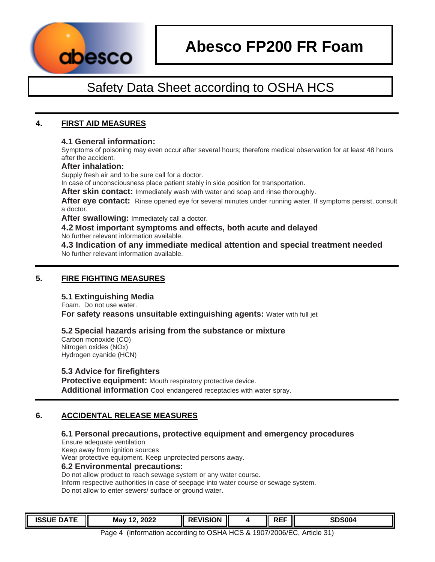

## **4. FIRST AID MEASURES**

## **4.1 General information:**

Symptoms of poisoning may even occur after several hours; therefore medical observation for at least 48 hours after the accident.

#### **After inhalation:**

Supply fresh air and to be sure call for a doctor.

In case of unconsciousness place patient stably in side position for transportation.

**After skin contact:** Immediately wash with water and soap and rinse thoroughly.

**After eye contact:** Rinse opened eye for several minutes under running water. If symptoms persist, consult a doctor.

**After swallowing:** Immediately call a doctor.

**4.2 Most important symptoms and effects, both acute and delayed**  No further relevant information available.

**4.3 Indication of any immediate medical attention and special treatment needed**  No further relevant information available.

## **5. FIRE FIGHTING MEASURES**

## **5.1 Extinguishing Media**

Foam. Do not use water.

**For safety reasons unsuitable extinguishing agents: Water with full jet** 

## **5.2 Special hazards arising from the substance or mixture**

Carbon monoxide (CO) Nitrogen oxides (NOx) Hydrogen cyanide (HCN)

## **5.3 Advice for firefighters**

**Protective equipment:** Mouth respiratory protective device. **Additional information** Cool endangered receptacles with water spray.

## **6. ACCIDENTAL RELEASE MEASURES**

## **6.1 Personal precautions, protective equipment and emergency procedures**

Ensure adequate ventilation

Keep away from ignition sources

Wear protective equipment. Keep unprotected persons away.

## **6.2 Environmental precautions:**

Do not allow product to reach sewage system or any water course. Inform respective authorities in case of seepage into water course or sewage system. Do not allow to enter sewers/ surface or ground water.

| <b>ISSUE</b><br><b>DATE</b><br>ப∆− | 2022<br>May<br>. . | SION<br>D.<br>к. | Ш | ---<br>. .<br><br>. | SDS004<br>. נור |
|------------------------------------|--------------------|------------------|---|---------------------|-----------------|
|                                    |                    |                  |   |                     |                 |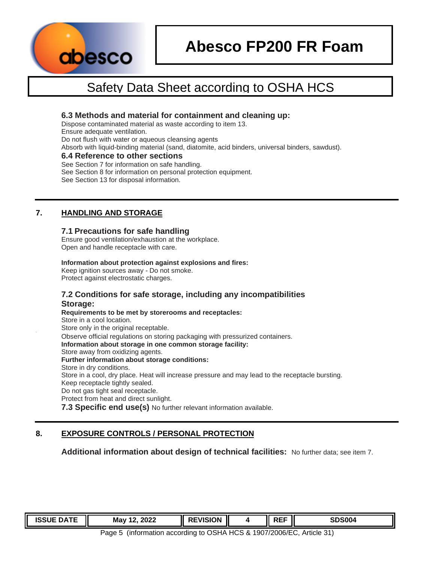

## **6.3 Methods and material for containment and cleaning up:**

Dispose contaminated material as waste according to item 13.

Ensure adequate ventilation.

Do not flush with water or aqueous cleansing agents

Absorb with liquid-binding material (sand, diatomite, acid binders, universal binders, sawdust).

## **6.4 Reference to other sections**

See Section 7 for information on safe handling.

See Section 8 for information on personal protection equipment.

See Section 13 for disposal information.

## **7. HANDLING AND STORAGE**

## **7.1 Precautions for safe handling**

Ensure good ventilation/exhaustion at the workplace. Open and handle receptacle with care.

#### **Information about protection against explosions and fires:**

Keep ignition sources away - Do not smoke. Protect against electrostatic charges.

## **7.2 Conditions for safe storage, including any incompatibilities Storage:**

**Requirements to be met by storerooms and receptacles:**  Store in a cool location. Store only in the original receptable. Observe official regulations on storing packaging with pressurized containers. **Information about storage in one common storage facility:**  Store away from oxidizing agents. **Further information about storage conditions:**  Store in dry conditions. Store in a cool, dry place. Heat will increase pressure and may lead to the receptacle bursting. Keep receptacle tightly sealed. Do not gas tight seal receptacle. Protect from heat and direct sunlight. **7.3 Specific end use(s)** No further relevant information available.

## **8. EXPOSURE CONTROLS / PERSONAL PROTECTION**

**Additional information about design of technical facilities:** No further data; see item 7.

| <b>ISSUE DATE</b> | 2022<br>. .<br>May<br>_____ | EVISION<br>Ш | I | ---<br>.<br>$\sim$<br><br>◝ | SDS004 |
|-------------------|-----------------------------|--------------|---|-----------------------------|--------|
|                   |                             |              |   |                             |        |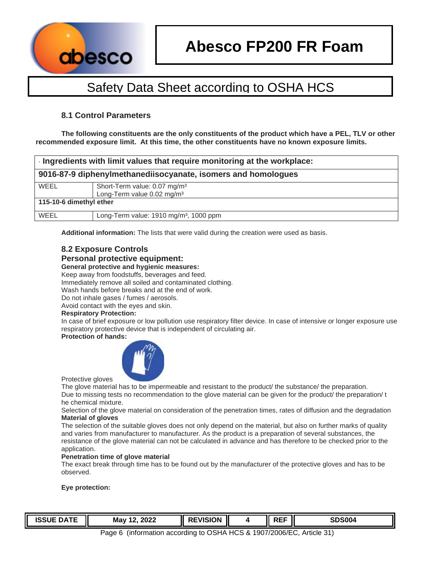

## **8.1 Control Parameters**

**The following constituents are the only constituents of the product which have a PEL, TLV or other recommended exposure limit. At this time, the other constituents have no known exposure limits.**

| Ingredients with limit values that require monitoring at the workplace: |                                                    |  |  |  |
|-------------------------------------------------------------------------|----------------------------------------------------|--|--|--|
| 9016-87-9 diphenylmethanediisocyanate, isomers and homologues           |                                                    |  |  |  |
| WEEL                                                                    | Short-Term value: 0.07 mg/m <sup>3</sup>           |  |  |  |
|                                                                         | Long-Term value 0.02 mg/m <sup>3</sup>             |  |  |  |
| 115-10-6 dimethyl ether                                                 |                                                    |  |  |  |
| WEEL                                                                    | Long-Term value: 1910 mg/m <sup>3</sup> , 1000 ppm |  |  |  |

**Additional information:** The lists that were valid during the creation were used as basis.

## **8.2 Exposure Controls**

#### **Personal protective equipment:**

#### **General protective and hygienic measures:**

Keep away from foodstuffs, beverages and feed.

Immediately remove all soiled and contaminated clothing.

Wash hands before breaks and at the end of work.

Do not inhale gases / fumes / aerosols.

Avoid contact with the eyes and skin.

#### **Respiratory Protection:**

In case of brief exposure or low pollution use respiratory filter device. In case of intensive or longer exposure use respiratory protective device that is independent of circulating air.

## **Protection of hands:**



Protective gloves

The glove material has to be impermeable and resistant to the product/ the substance/ the preparation. Due to missing tests no recommendation to the glove material can be given for the product/ the preparation/ t he chemical mixture.

Selection of the glove material on consideration of the penetration times, rates of diffusion and the degradation **Material of gloves** 

The selection of the suitable gloves does not only depend on the material, but also on further marks of quality and varies from manufacturer to manufacturer. As the product is a preparation of several substances, the resistance of the glove material can not be calculated in advance and has therefore to be checked prior to the application.

#### **Penetration time of glove material**

The exact break through time has to be found out by the manufacturer of the protective gloves and has to be observed.

#### **Eye protection:**

| $AA = 2$<br>⊐⊤۸۱<br>ISSUE<br><b>FDATE</b> | 2022<br>May | VISION | ---<br>.<br>∼ | <b>SDS004</b><br>จเ |
|-------------------------------------------|-------------|--------|---------------|---------------------|
|                                           |             |        |               |                     |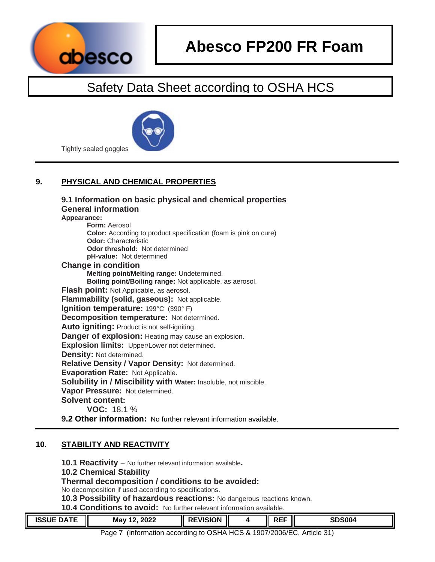



Tightly sealed goggles

## **9. PHYSICAL AND CHEMICAL PROPERTIES**

| 9.1 Information on basic physical and chemical properties<br><b>General information</b> |
|-----------------------------------------------------------------------------------------|
| Appearance:                                                                             |
| <b>Form: Aerosol</b>                                                                    |
| <b>Color:</b> According to product specification (foam is pink on cure)                 |
| <b>Odor:</b> Characteristic                                                             |
| <b>Odor threshold: Not determined</b>                                                   |
| pH-value: Not determined                                                                |
| <b>Change in condition</b>                                                              |
| Melting point/Melting range: Undetermined.                                              |
| Boiling point/Boiling range: Not applicable, as aerosol.                                |
| Flash point: Not Applicable, as aerosol.                                                |
| Flammability (solid, gaseous): Not applicable.                                          |
| Ignition temperature: 199°C (390°F)                                                     |
| <b>Decomposition temperature:</b> Not determined.                                       |
| Auto igniting: Product is not self-igniting.                                            |
| <b>Danger of explosion:</b> Heating may cause an explosion.                             |
| <b>Explosion limits:</b> Upper/Lower not determined.                                    |
| <b>Density: Not determined.</b>                                                         |
| Relative Density / Vapor Density: Not determined.                                       |
| Evaporation Rate: Not Applicable.                                                       |
| <b>Solubility in / Miscibility with Water: Insoluble, not miscible.</b>                 |
| Vapor Pressure: Not determined.                                                         |
| <b>Solvent content:</b>                                                                 |
| <b>VOC: 18.1 %</b>                                                                      |
| <b>Q 2 Other information:</b> No further relevant information available                 |

## **prmation:** No further relevant information available.

## **10. STABILITY AND REACTIVITY**

**10.1 Reactivity –** No further relevant information available**.** 

## **10.2 Chemical Stability**

## **Thermal decomposition / conditions to be avoided:**

No decomposition if used according to specifications.

**10.3 Possibility of hazardous reactions:** No dangerous reactions known.

**10.4 Conditions to avoid:** No further relevant information available.

| <b>ISSUE DATE</b> | יממר<br>May<br>LULL | EVISION<br><br>$\mathbf{L}$ | <b>REF</b> | <b>SDS004</b> |
|-------------------|---------------------|-----------------------------|------------|---------------|
|                   |                     |                             |            |               |

Page 7 (information according to OSHA HCS & 1907/2006/EC, Article 31)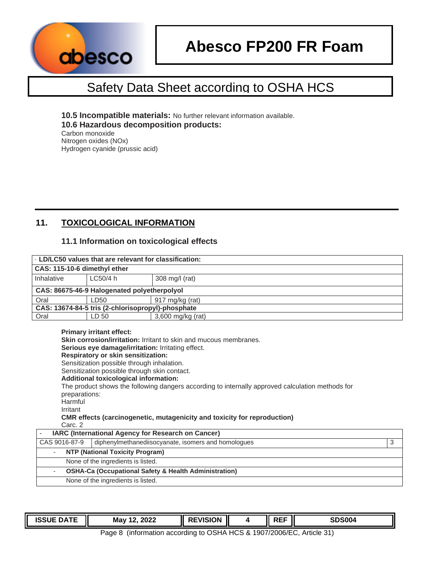

**10.5 Incompatible materials:** No further relevant information available. **10.6 Hazardous decomposition products:**  Carbon monoxide Nitrogen oxides (NOx)

Hydrogen cyanide (prussic acid)

## **11. TOXICOLOGICAL INFORMATION**

## **11.1 Information on toxicological effects**

|                                      | . LD/LC50 values that are relevant for classification:                                                                                                                                                                                                                                 |                                                                                                                                                                                                                                                          |
|--------------------------------------|----------------------------------------------------------------------------------------------------------------------------------------------------------------------------------------------------------------------------------------------------------------------------------------|----------------------------------------------------------------------------------------------------------------------------------------------------------------------------------------------------------------------------------------------------------|
| CAS: 115-10-6 dimethyl ether         |                                                                                                                                                                                                                                                                                        |                                                                                                                                                                                                                                                          |
| Inhalative                           | LC50/4 h                                                                                                                                                                                                                                                                               | 308 mg/l (rat)                                                                                                                                                                                                                                           |
|                                      | CAS: 86675-46-9 Halogenated polyetherpolyol                                                                                                                                                                                                                                            |                                                                                                                                                                                                                                                          |
| Oral                                 | LD50                                                                                                                                                                                                                                                                                   | 917 mg/kg (rat)                                                                                                                                                                                                                                          |
|                                      | CAS: 13674-84-5 tris (2-chlorisopropyl)-phosphate                                                                                                                                                                                                                                      |                                                                                                                                                                                                                                                          |
| Oral                                 | LD 50                                                                                                                                                                                                                                                                                  | $3,600$ mg/kg (rat)                                                                                                                                                                                                                                      |
| preparations:<br>Harmful<br>Irritant | <b>Primary irritant effect:</b><br><b>Serious eye damage/irritation:</b> Irritating effect.<br><b>Respiratory or skin sensitization:</b><br>Sensitization possible through inhalation.<br>Sensitization possible through skin contact.<br><b>Additional toxicological information:</b> | Skin corrosion/irritation: Irritant to skin and mucous membranes.<br>The product shows the following dangers according to internally approved calculation methods for<br><b>CMR</b> effects (carcinogenetic, mutagenicity and toxicity for reproduction) |

Carc. 2

| <b>IARC (International Agency for Research on Cancer)</b> |                                                                                                        |  |  |  |
|-----------------------------------------------------------|--------------------------------------------------------------------------------------------------------|--|--|--|
| diphenylmethanediisocyanate, isomers and homologues       |                                                                                                        |  |  |  |
| <b>NTP (National Toxicity Program)</b>                    |                                                                                                        |  |  |  |
| None of the ingredients is listed.                        |                                                                                                        |  |  |  |
|                                                           |                                                                                                        |  |  |  |
|                                                           |                                                                                                        |  |  |  |
|                                                           | <b>OSHA-Ca (Occupational Safety &amp; Health Administration)</b><br>None of the ingredients is listed. |  |  |  |

| <b>ISSUE</b><br>----<br>DΑ<br>. . | 2022<br>May<br>£ | <b>EVISION</b><br>- -<br>D.<br>JЛ<br>M | DEE<br>11∟ | <b>SDS004</b> |
|-----------------------------------|------------------|----------------------------------------|------------|---------------|
|                                   |                  |                                        |            |               |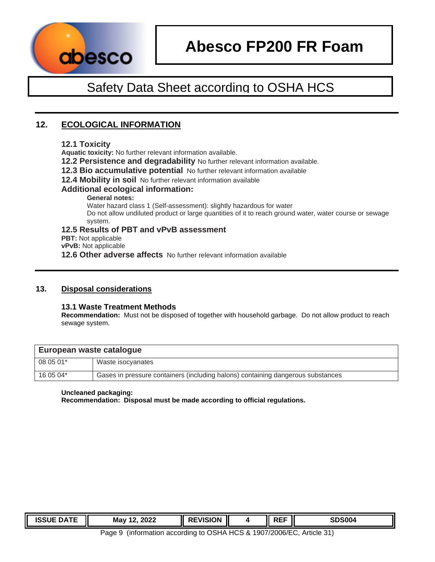

# **Abesco FP200 FR Foam**

## Safety Data Sheet according to OSHA HCS

## **12. ECOLOGICAL INFORMATION**

## **12.1 Toxicity**

**Aquatic toxicity:** No further relevant information available.

- **12.2 Persistence and degradability** No further relevant information available.
- **12.3 Bio accumulative potential** No further relevant information available

**12.4 Mobility in soil** No further relevant information available

## **Additional ecological information:**

**General notes:** 

Water hazard class 1 (Self-assessment): slightly hazardous for water

Do not allow undiluted product or large quantities of it to reach ground water, water course or sewage system.

## **12.5 Results of PBT and vPvB assessment**

**PBT:** Not applicable

**vPvB:** Not applicable

**12.6 Other adverse affects** No further relevant information available

## **13. Disposal considerations**

## **13.1 Waste Treatment Methods**

**Recommendation:** Must not be disposed of together with household garbage. Do not allow product to reach sewage system.

| European waste catalogue |                                                                                 |  |
|--------------------------|---------------------------------------------------------------------------------|--|
| 08 05 01*                | Waste isocyanates                                                               |  |
| 16 05 04*                | Gases in pressure containers (including halons) containing dangerous substances |  |

## **Uncleaned packaging:**

**Recommendation: Disposal must be made according to official regulations.** 

| <b>ISSUE DATE</b> | 2022<br>May | <b>EVISION</b> | <b>RFF</b><br>. .<br>ヽ–– | <b>SDS004</b> |
|-------------------|-------------|----------------|--------------------------|---------------|
|                   |             |                |                          |               |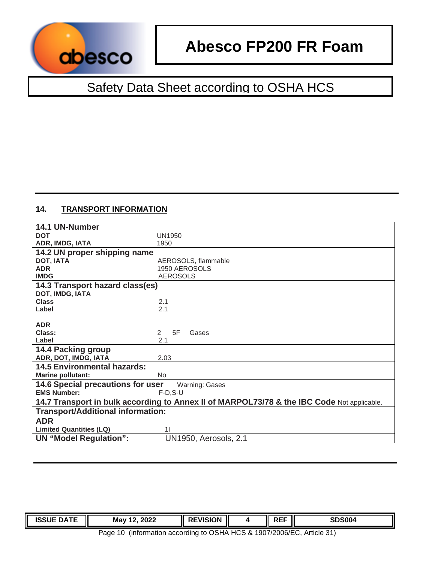

## **14. TRANSPORT INFORMATION**

| 14.1 UN-Number                           |                                                                                            |
|------------------------------------------|--------------------------------------------------------------------------------------------|
| <b>DOT</b>                               | <b>UN1950</b>                                                                              |
| ADR, IMDG, IATA                          | 1950                                                                                       |
| 14.2 UN proper shipping name             |                                                                                            |
| DOT, IATA                                | AEROSOLS, flammable                                                                        |
| <b>ADR</b>                               | 1950 AEROSOLS                                                                              |
| <b>IMDG</b>                              | <b>AEROSOLS</b>                                                                            |
| 14.3 Transport hazard class(es)          |                                                                                            |
| DOT, IMDG, IATA                          |                                                                                            |
| <b>Class</b>                             | 2.1                                                                                        |
| Label                                    | 2.1                                                                                        |
|                                          |                                                                                            |
| <b>ADR</b>                               |                                                                                            |
| Class:                                   | 5F<br>2<br>Gases                                                                           |
| Label                                    | 2.1                                                                                        |
| 14.4 Packing group                       |                                                                                            |
| ADR, DOT, IMDG, IATA                     | 2.03                                                                                       |
| <b>14.5 Environmental hazards:</b>       |                                                                                            |
| <b>Marine pollutant:</b>                 | <b>No</b>                                                                                  |
| 14.6 Special precautions for user        | <b>Warning: Gases</b>                                                                      |
| <b>EMS Number:</b>                       | $F-D, S-U$                                                                                 |
|                                          | 14.7 Transport in bulk according to Annex II of MARPOL73/78 & the IBC Code Not applicable. |
| <b>Transport/Additional information:</b> |                                                                                            |
| <b>ADR</b>                               |                                                                                            |
| <b>Limited Quantities (LQ)</b>           | 11                                                                                         |
| <b>UN "Model Regulation":</b>            | UN1950, Aerosols, 2.1                                                                      |

| Ш<br>Ш<br>. . | .<br><b>ΔL</b> | 2022<br><b>May</b><br>---<br>__<br>_____ | VISION<br>П | ---<br>-- | enenn<br>5UU4<br>э. |
|---------------|----------------|------------------------------------------|-------------|-----------|---------------------|
|               |                |                                          |             |           |                     |

Page 10 (information according to OSHA HCS & 1907/2006/EC, Article 31)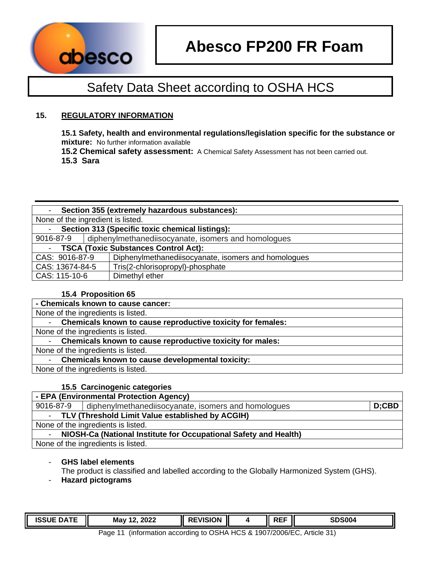

## **15. REGULATORY INFORMATION**

**15.1 Safety, health and environmental regulations/legislation specific for the substance or mixture:** No further information available

**15.2 Chemical safety assessment:** A Chemical Safety Assessment has not been carried out. **15.3 Sara** 

|                 |                                   | Section 355 (extremely hazardous substances):       |  |
|-----------------|-----------------------------------|-----------------------------------------------------|--|
|                 | None of the ingredient is listed. |                                                     |  |
| $\sim$          |                                   | Section 313 (Specific toxic chemical listings):     |  |
| 9016-87-9       |                                   | diphenylmethanediisocyanate, isomers and homologues |  |
| $\blacksquare$  |                                   | <b>TSCA (Toxic Substances Control Act):</b>         |  |
| CAS: 9016-87-9  |                                   | Diphenylmethanediisocyanate, isomers and homologues |  |
| CAS: 13674-84-5 |                                   | Tris(2-chlorisopropyl)-phosphate                    |  |
| CAS: 115-10-6   |                                   | Dimethyl ether                                      |  |

## **15.4 Proposition 65**

| - Chemicals known to cause cancer:                                |
|-------------------------------------------------------------------|
| None of the ingredients is listed.                                |
| Chemicals known to cause reproductive toxicity for females:       |
| None of the ingredients is listed.                                |
| - Chemicals known to cause reproductive toxicity for males:       |
| None of the ingredients is listed.                                |
| <b>Chemicals known to cause developmental toxicity:</b><br>$\sim$ |
| None of the ingredients is listed.                                |

## **15.5 Carcinogenic categories**

| - EPA (Environmental Protection Agency)                                    |                                                     |          |  |  |  |
|----------------------------------------------------------------------------|-----------------------------------------------------|----------|--|--|--|
| 9016-87-9                                                                  | diphenylmethanediisocyanate, isomers and homologues | $D;$ CBD |  |  |  |
| - TLV (Threshold Limit Value established by ACGIH)                         |                                                     |          |  |  |  |
| None of the ingredients is listed.                                         |                                                     |          |  |  |  |
| NIOSH-Ca (National Institute for Occupational Safety and Health)<br>$\sim$ |                                                     |          |  |  |  |
| None of the ingredients is listed.                                         |                                                     |          |  |  |  |

## - **GHS label elements**

The product is classified and labelled according to the Globally Harmonized System (GHS).

- **Hazard pictograms** 

| -----<br>100110<br>-115.<br>เจอบเ | May<br>2022<br>$\overline{\phantom{a}}$ | VISION | DEE<br>… | <b>SDS004</b> |
|-----------------------------------|-----------------------------------------|--------|----------|---------------|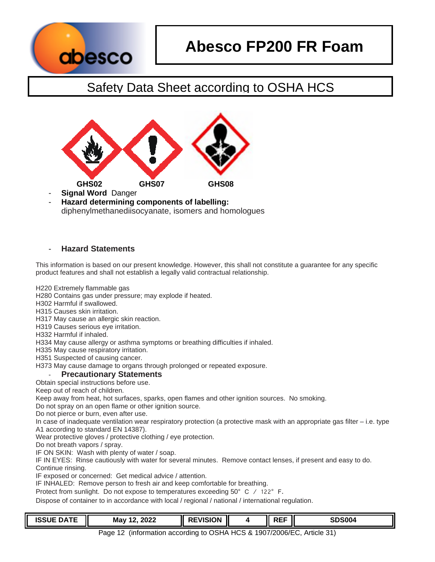

# **Abesco FP200 FR Foam**

## Safety Data Sheet according to OSHA HCS



- **Signal Word** Danger
- **Hazard determining components of labelling:**  diphenylmethanediisocyanate, isomers and homologues

## - **Hazard Statements**

This information is based on our present knowledge. However, this shall not constitute a guarantee for any specific product features and shall not establish a legally valid contractual relationship.

H220 Extremely flammable gas

H280 Contains gas under pressure; may explode if heated.

H302 Harmful if swallowed.

H315 Causes skin irritation.

H317 May cause an allergic skin reaction.

H319 Causes serious eye irritation.

H332 Harmful if inhaled.

H334 May cause allergy or asthma symptoms or breathing difficulties if inhaled.

H335 May cause respiratory irritation.

H351 Suspected of causing cancer.

H373 May cause damage to organs through prolonged or repeated exposure.

## **Precautionary Statements**

Obtain special instructions before use.

Keep out of reach of children.

Keep away from heat, hot surfaces, sparks, open flames and other ignition sources. No smoking.

Do not spray on an open flame or other ignition source.

Do not pierce or burn, even after use.

In case of inadequate ventilation wear respiratory protection (a protective mask with an appropriate gas filter – i.e. type A1 according to standard EN 14387).

Wear protective gloves / protective clothing / eye protection.

Do not breath vapors / spray.

IF ON SKIN: Wash with plenty of water / soap.

IF IN EYES: Rinse cautiously with water for several minutes. Remove contact lenses, if present and easy to do. Continue rinsing.

IF exposed or concerned: Get medical advice / attention.

IF INHALED: Remove person to fresh air and keep comfortable for breathing.

Protect from sunlight. Do not expose to temperatures exceeding 50° C / 122° F.

Dispose of container to in accordance with local / regional / national / international regulation.

| <b>ISSUE DATE</b> | 2022<br>Mav 1 $^{\circ}$ | <b>REVISION</b> |  | ---<br>'⊢⊦<br>∼ | <b>SDS004</b><br>SD. |
|-------------------|--------------------------|-----------------|--|-----------------|----------------------|
|-------------------|--------------------------|-----------------|--|-----------------|----------------------|

Page 12 (information according to OSHA HCS & 1907/2006/EC, Article 31)